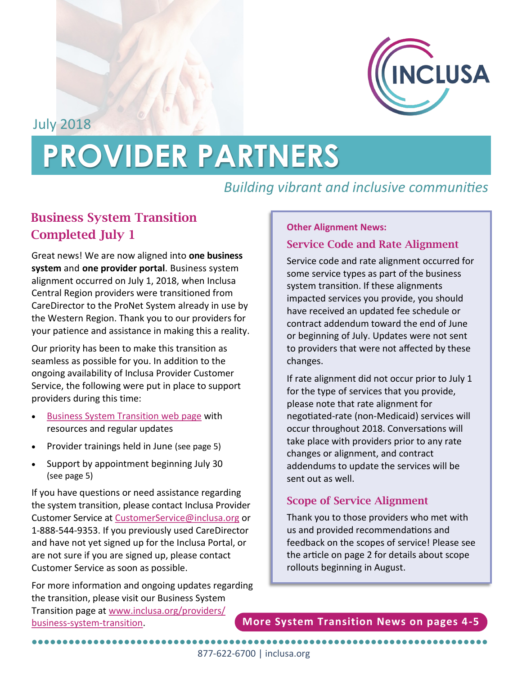

July 2018

# **PROVIDER PARTNERS**

# *Building vibrant and inclusive communities*

# **Business System Transition Completed July 1**

Great news! We are now aligned into **one business system** and **one provider portal**. Business system alignment occurred on July 1, 2018, when Inclusa Central Region providers were transitioned from CareDirector to the ProNet System already in use by the Western Region. Thank you to our providers for your patience and assistance in making this a reality.

Our priority has been to make this transition as seamless as possible for you. In addition to the ongoing availability of Inclusa Provider Customer Service, the following were put in place to support providers during this time:

- [Business System Transition web page](http://www.inclusa.org/providers/business-system-transition) with resources and regular updates
- Provider trainings held in June (see page 5)
- Support by appointment beginning July 30 (see page 5)

If you have questions or need assistance regarding the system transition, please contact Inclusa Provider Customer Service at [CustomerService@inclusa.org](mailto:customerservice@inclusa.org) or 1-888-544-9353. If you previously used CareDirector and have not yet signed up for the Inclusa Portal, or are not sure if you are signed up, please contact Customer Service as soon as possible.

For more information and ongoing updates regarding the transition, please visit our Business System Transition page at [www.inclusa.org/providers/](http://www.inclusa.org/providers/business-system-transition) business-system-[transition.](http://www.inclusa.org/providers/business-system-transition)

#### **Other Alignment News:**

## **Service Code and Rate Alignment**

Service code and rate alignment occurred for some service types as part of the business system transition. If these alignments impacted services you provide, you should have received an updated fee schedule or contract addendum toward the end of June or beginning of July. Updates were not sent to providers that were not affected by these changes.

If rate alignment did not occur prior to July 1 for the type of services that you provide, please note that rate alignment for negotiated-rate (non-Medicaid) services will occur throughout 2018. Conversations will take place with providers prior to any rate changes or alignment, and contract addendums to update the services will be sent out as well.

# **Scope of Service Alignment**

Thank you to those providers who met with us and provided recommendations and feedback on the scopes of service! Please see the article on page 2 for details about scope rollouts beginning in August.

**More System Transition News on pages 4-5**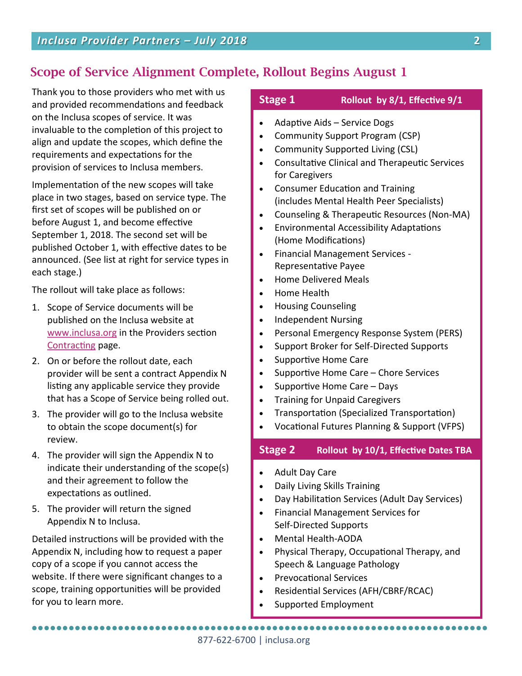# **Scope of Service Alignment Complete, Rollout Begins August 1**

Thank you to those providers who met with us and provided recommendations and feedback on the Inclusa scopes of service. It was invaluable to the completion of this project to align and update the scopes, which define the requirements and expectations for the provision of services to Inclusa members.

Implementation of the new scopes will take place in two stages, based on service type. The first set of scopes will be published on or before August 1, and become effective September 1, 2018. The second set will be published October 1, with effective dates to be announced. (See list at right for service types in each stage.)

The rollout will take place as follows:

- 1. Scope of Service documents will be published on the Inclusa website at [www.inclusa.org](http://www.inclusa.org) in the Providers section [Contracting](http://www.inclusa.org/providers/contracting/) page.
- 2. On or before the rollout date, each provider will be sent a contract Appendix N listing any applicable service they provide that has a Scope of Service being rolled out.
- 3. The provider will go to the Inclusa website to obtain the scope document(s) for review.
- 4. The provider will sign the Appendix N to indicate their understanding of the scope(s) and their agreement to follow the expectations as outlined.
- 5. The provider will return the signed Appendix N to Inclusa.

Detailed instructions will be provided with the Appendix N, including how to request a paper copy of a scope if you cannot access the website. If there were significant changes to a scope, training opportunities will be provided for you to learn more.

### **Stage 1 Rollout by 8/1, Effective 9/1**

- Adaptive Aids Service Dogs
- Community Support Program (CSP)
- Community Supported Living (CSL)
- Consultative Clinical and Therapeutic Services for Caregivers
- Consumer Education and Training (includes Mental Health Peer Specialists)
- Counseling & Therapeutic Resources (Non-MA)
- Environmental Accessibility Adaptations (Home Modifications)
- Financial Management Services Representative Payee
- Home Delivered Meals
- Home Health
- Housing Counseling
- Independent Nursing
- Personal Emergency Response System (PERS)
- Support Broker for Self-Directed Supports
- Supportive Home Care
- Supportive Home Care Chore Services
- $\bullet$  Supportive Home Care Days
- Training for Unpaid Caregivers
- Transportation (Specialized Transportation)
- Vocational Futures Planning & Support (VFPS)

## **Stage 2 Rollout by 10/1, Effective Dates TBA**

- Adult Day Care
- Daily Living Skills Training
- Day Habilitation Services (Adult Day Services)
- Financial Management Services for Self-Directed Supports
- Mental Health-AODA
- Physical Therapy, Occupational Therapy, and Speech & Language Pathology
- Prevocational Services
- Residential Services (AFH/CBRF/RCAC)
- Supported Employment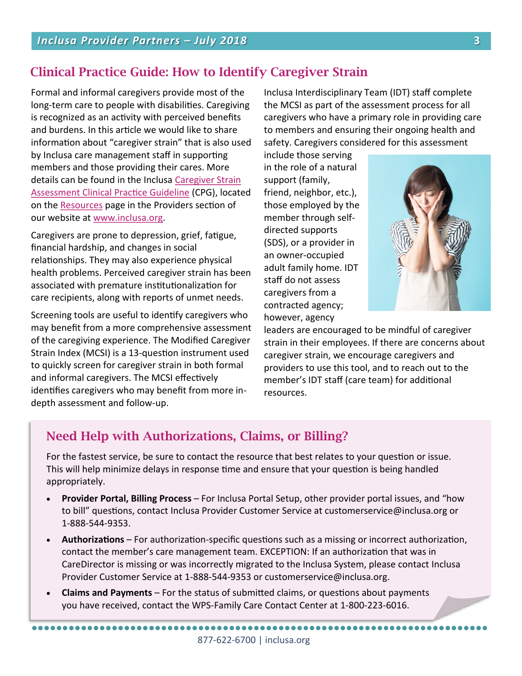# **Clinical Practice Guide: How to Identify Caregiver Strain**

Formal and informal caregivers provide most of the long-term care to people with disabilities. Caregiving is recognized as an activity with perceived benefits and burdens. In this article we would like to share information about "caregiver strain" that is also used by Inclusa care management staff in supporting members and those providing their cares. More details can be found in the Inclusa [Caregiver Strain](http://www.inclusa.org/wp-content/uploads/Caregiver-Strain-Clinical-Practice-Guideline.docx)  [Assessment Clinical Practice Guideline](http://www.inclusa.org/wp-content/uploads/Caregiver-Strain-Clinical-Practice-Guideline.docx) (CPG), located on the [Resources](http://www.inclusa.org/providers/resources/) page in the Providers section of our website at [www.inclusa.org.](http://www.inclusa.org)

Caregivers are prone to depression, grief, fatigue, financial hardship, and changes in social relationships. They may also experience physical health problems. Perceived caregiver strain has been associated with premature institutionalization for care recipients, along with reports of unmet needs.

Screening tools are useful to identify caregivers who may benefit from a more comprehensive assessment of the caregiving experience. The Modified Caregiver Strain Index (MCSI) is a 13-question instrument used to quickly screen for caregiver strain in both formal and informal caregivers. The MCSI effectively identifies caregivers who may benefit from more indepth assessment and follow-up.

Inclusa Interdisciplinary Team (IDT) staff complete the MCSI as part of the assessment process for all caregivers who have a primary role in providing care to members and ensuring their ongoing health and safety. Caregivers considered for this assessment

include those serving in the role of a natural support (family, friend, neighbor, etc.), those employed by the member through selfdirected supports (SDS), or a provider in an owner-occupied adult family home. IDT staff do not assess caregivers from a contracted agency; however, agency



leaders are encouraged to be mindful of caregiver strain in their employees. If there are concerns about caregiver strain, we encourage caregivers and providers to use this tool, and to reach out to the member's IDT staff (care team) for additional resources.

# **Need Help with Authorizations, Claims, or Billing?**

For the fastest service, be sure to contact the resource that best relates to your question or issue. This will help minimize delays in response time and ensure that your question is being handled appropriately.

- **Provider Portal, Billing Process**  For Inclusa Portal Setup, other provider portal issues, and "how to bill" questions, contact Inclusa Provider Customer Service at customerservice@inclusa.org or 1-888-544-9353.
- **Authorizations**  For authorization-specific questions such as a missing or incorrect authorization, contact the member's care management team. EXCEPTION: If an authorization that was in CareDirector is missing or was incorrectly migrated to the Inclusa System, please contact Inclusa Provider Customer Service at 1-888-544-9353 or customerservice@inclusa.org.
- **Claims and Payments**  For the status of submitted claims, or questions about payments you have received, contact the WPS-Family Care Contact Center at 1-800-223-6016.

●●●●●●●●●●●●●●●●●●●●●●●●●●●●●●●●●●●●●●●●●●●●●●●●●●●●●●●●●●●●●●●●●●●●●●●●●●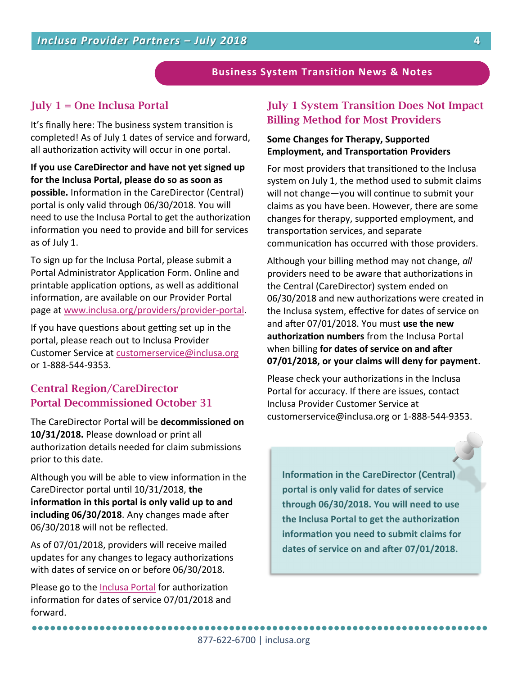#### **Business System Transition News & Notes**

### **July 1 = One Inclusa Portal**

It's finally here: The business system transition is completed! As of July 1 dates of service and forward, all authorization activity will occur in one portal.

**If you use CareDirector and have not yet signed up for the Inclusa Portal, please do so as soon as possible.** Information in the CareDirector (Central) portal is only valid through 06/30/2018. You will need to use the Inclusa Portal to get the authorization information you need to provide and bill for services as of July 1.

To sign up for the Inclusa Portal, please submit a Portal Administrator Application Form. Online and printable application options, as well as additional information, are available on our Provider Portal page at [www.inclusa.org/providers/provider](http://www.inclusa.org/providers/provider-portal/)-portal.

If you have questions about getting set up in the portal, please reach out to Inclusa Provider Customer Service at [customerservice@inclusa.org](mailto:customerservice@inclusa.org) or 1-888-544-9353.

## **Central Region/CareDirector Portal Decommissioned October 31**

The CareDirector Portal will be **decommissioned on 10/31/2018.** Please download or print all authorization details needed for claim submissions prior to this date.

Although you will be able to view information in the CareDirector portal until 10/31/2018, **the information in this portal is only valid up to and including 06/30/2018**. Any changes made after 06/30/2018 will not be reflected.

As of 07/01/2018, providers will receive mailed updates for any changes to legacy authorizations with dates of service on or before 06/30/2018.

Please go to the [Inclusa Portal](https://providerportal.inclusa.org/) for authorization information for dates of service 07/01/2018 and forward.

## **July 1 System Transition Does Not Impact Billing Method for Most Providers**

#### **Some Changes for Therapy, Supported Employment, and Transportation Providers**

For most providers that transitioned to the Inclusa system on July 1, the method used to submit claims will not change—you will continue to submit your claims as you have been. However, there are some changes for therapy, supported employment, and transportation services, and separate communication has occurred with those providers.

Although your billing method may not change, *all*  providers need to be aware that authorizations in the Central (CareDirector) system ended on 06/30/2018 and new authorizations were created in the Inclusa system, effective for dates of service on and after 07/01/2018. You must **use the new authorization numbers** from the Inclusa Portal when billing **for dates of service on and after 07/01/2018, or your claims will deny for payment**.

Please check your authorizations in the Inclusa Portal for accuracy. If there are issues, contact Inclusa Provider Customer Service at customerservice@inclusa.org or 1-888-544-9353.

**Information in the CareDirector (Central) portal is only valid for dates of service through 06/30/2018. You will need to use the Inclusa Portal to get the authorization information you need to submit claims for dates of service on and after 07/01/2018.** 

●●●●●●●●●●●●●●●●●●●●●●●●●●●●●●●●●●●●●●●●●●●●●●●●●●●●●●●●●●●●●●●●●●●●●●●●●●